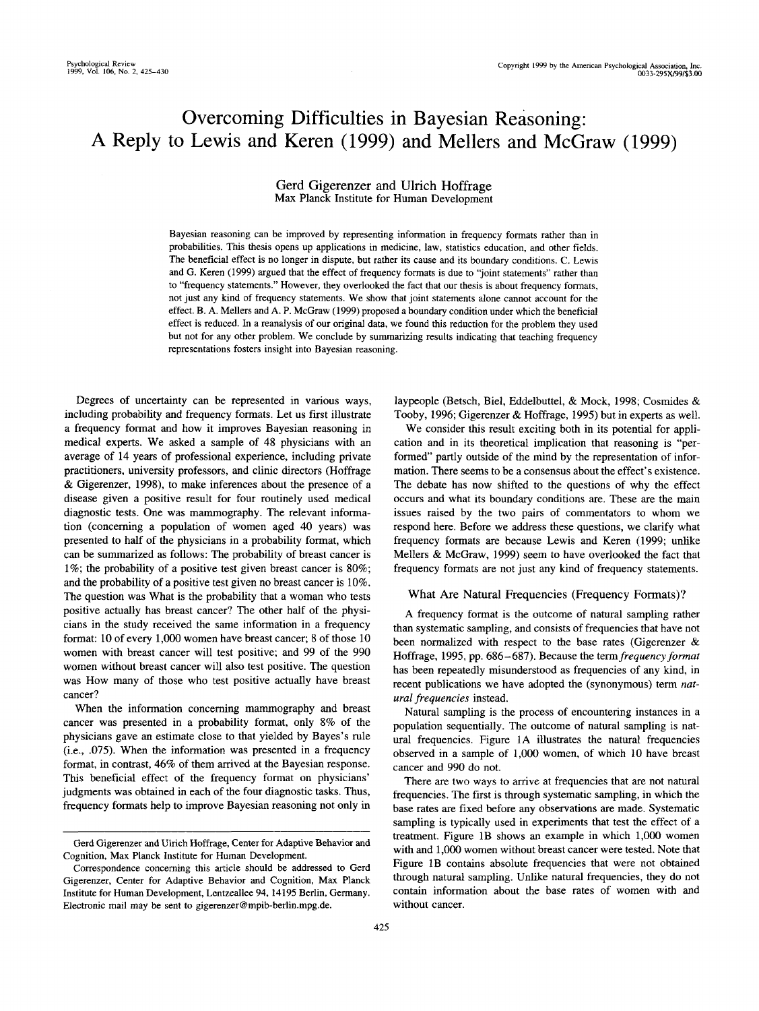# Overcoming Difficulties in Bayesian Reasoning: A Reply to Lewis and Keren (1999) and Mellers and McGraw (1999)

#### **Gerd Gigerenzer and** Ulrich **Hoffrage** Max Planck Institute for Human Development

Bayesian reasoning can be improved by representing information in frequency formats rather than in probabilities. This thesis opens up applications in medicine, law, statistics education, and other fields. The beneficial effect is no longer in dispute, but rather its cause and its boundary conditions. C. Lewis and G. Keren (1999) argued that the effect of frequency formats is due to "joint statements" rather than to "frequency statements." However, they overlooked the fact that our thesis is about frequency formats, not just any kind of frequency statements. We show that joint statements alone cannot account for the effect. B. A. Mellers and A. P. McGraw (1999) proposed a boundary condition under which the beneficial effect is reduced. In a reanalysis of our original data, we found this reduction for the problem they used but not for any other problem. We conclude by summarizing results indicating that teaching frequency representations fosters insight into Bayesian reasoning.

Degrees of uncertainty can be represented in various ways, including probability and frequency formats. Let us first illustrate a frequency format and how it improves Bayesian reasoning in medical experts. We asked a sample of 48 physicians with an average of 14 years of professional experience, including private practitioners, university professors, and clinic directors (Hoffrage & Gigerenzer, 1998), to make inferences about the presence of a disease given a positive result for four routinely used medical diagnostic tests. One was mammography. The relevant information (concerning a population of women aged 40 years) was presented to half of the physicians in a probability format, which can be summarized as follows: The probability of breast cancer is 1%; the probability of a positive test given breast cancer is 80%; and the probability of a positive test given no breast cancer is 10%. The question was What is the probability that a woman who tests positive actually has breast cancer? The other half of the physicians in the study received the same information in a frequency format: 10 of every 1,000 women have breast cancer; 8 of those 10 women with breast cancer will test positive; and 99 of the 990 women without breast cancer will also test positive. The question was How many of those who test positive actually have breast cancer?

When the information concerning mammography and breast cancer was presented in a probability format, only 8% of the physicians gave an estimate close to that yielded by Bayes's rule (i.e., .075). When the information was presented in a frequency format, in contrast, 46% of them arrived at the Bayesian response. This beneficial effect of the frequency format on physicians' judgments was obtained in each of the four diagnostic tasks. Thus, frequency formats help to improve Bayesian reasoning not only in

laypeople (Betsch, Biel, Eddelbuttel, & Mock, 1998; Cosmides & Tooby, 1996; Gigerenzer & Hoffrage, 1995) but in experts as well.

We consider this result exciting both in its potential for application and in its theoretical implication that reasoning is "performed" partly outside of the mind by the representation of information. There seems to be a consensus about the effect's existence. The debate has now shifted to the questions of why the effect occurs and what its boundary conditions are. These are the main issues raised by the two pairs of commentators to whom we respond here. Before we address these questions, we clarify what frequency formats are because Lewis and Keren (1999; unlike Mellers & McGraw, 1999) seem to have overlooked the fact that frequency formats are not just any kind of frequency statements.

### What Are Natural Frequencies (Frequency Formats)?

A frequency format is the outcome of natural sampling rather than systematic sampling, and consists of frequencies that have not been normalized with respect to the base rates (Gigerenzer & Hoffrage, 1995, pp. 686-687). Because the *term frequency format* has been repeatedly misunderstood as frequencies of any kind, in recent publications we have adopted the (synonymous) term *natural frequencies* instead.

Natural sampling is the process of encountering instances in a population sequentially. The outcome of natural sampling is natural frequencies. Figure 1A illustrates the natural frequencies observed in a sample of 1,000 women, of which 10 have breast cancer and 990 do not.

There are two ways to arrive at frequencies that are not natural frequencies. The first is through systematic sampling, in which the base rates are fixed before any observations are made. Systematic sampling is typically used in experiments that test the effect of a treatment. Figure IB shows an example in which 1,000 women with and 1,000 women without breast cancer were tested. Note that Figure IB contains absolute frequencies that were not obtained through natural sampling. Unlike natural frequencies, they do not contain information about the base rates of women with and without cancer.

Gerd Gigerenzer and Ulrich Hoffrage, Center for Adaptive Behavior and Cognition, Max Planck Institute for Human Development.

Correspondence concerning this article should be addressed to Gerd Gigerenzer, Center for Adaptive Behavior and Cognition, Max Planck Institute for Human Development, Lentzeallee 94, 14195 Berlin, Germany. Electronic mail may be sent to gigerenzer@mpib-berlin.mpg.de.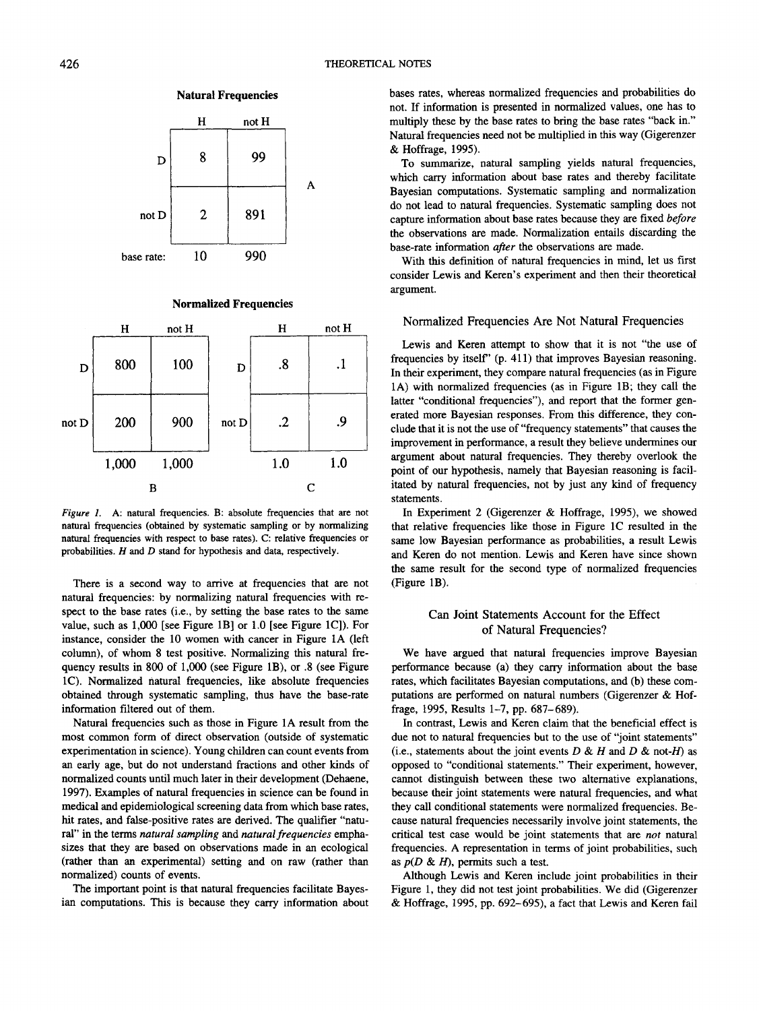

## **Natural Frequencies**

#### **Normalized Frequencies**



*Figure 1.* A: natural frequencies. B: absolute frequencies that are not natural frequencies (obtained by systematic sampling or by normalizing natural frequencies with respect to base rates). C: relative frequencies or probabilities. *H* and *D* stand for hypothesis and data, respectively.

There is a second way to arrive at frequencies that are not natural frequencies: by normalizing natural frequencies with respect to the base rates (i.e., by setting the base rates to the same value, such as 1,000 [see Figure IB] or 1.0 [see Figure 1C]). For instance, consider the 10 women with cancer in Figure 1A (left column), of whom 8 test positive. Normalizing this natural frequency results in 800 of 1,000 (see Figure IB), or .8 (see Figure 1C). Normalized natural frequencies, like absolute frequencies obtained through systematic sampling, thus have the base-rate information filtered out of them.

Natural frequencies such as those in Figure 1A result from the most common form of direct observation (outside of systematic experimentation in science). Young children can count events from an early age, but do not understand fractions and other kinds of normalized counts until much later in their development (Dehaene, 1997). Examples of natural frequencies in science can be found in medical and epidemiological screening data from which base rates, hit rates, and false-positive rates are derived. The qualifier "natural" in the terms *natural sampling* and *natural frequencies* emphasizes that they are based on observations made in an ecological (rather than an experimental) setting and on raw (rather than normalized) counts of events.

The important point is that natural frequencies facilitate Bayesian computations. This is because they carry information about bases rates, whereas normalized frequencies and probabilities do not. If information is presented in normalized values, one has to multiply these by the base rates to bring the base rates "back in." Natural frequencies need not be multiplied in this way (Gigerenzer & Hoffrage, 1995).

To summarize, natural sampling yields natural frequencies, which carry information about base rates and thereby facilitate Bayesian computations. Systematic sampling and normalization do not lead to natural frequencies. Systematic sampling does not capture information about base rates because they are fixed *before* the observations are made. Normalization entails discarding the base-rate information *after* the observations are made.

With this definition of natural frequencies in mind, let us first consider Lewis and Keren's experiment and then their theoretical argument.

#### Normalized Frequencies Are Not Natural Frequencies

Lewis and Keren attempt to show that it is not "the use of frequencies by itself" (p. 411) that improves Bayesian reasoning. In their experiment, they compare natural frequencies (as in Figure 1A) with normalized frequencies (as in Figure IB; they call the latter "conditional frequencies"), and report that the former generated more Bayesian responses. From this difference, they conclude that it is not the use of "frequency statements" that causes the improvement in performance, a result they believe undermines our argument about natural frequencies. They thereby overlook the point of our hypothesis, namely that Bayesian reasoning is facilitated by natural frequencies, not by just any kind of frequency statements.

In Experiment 2 (Gigerenzer & Hoffrage, 1995), we showed that relative frequencies like those in Figure 1C resulted in the same low Bayesian performance as probabilities, a result Lewis and Keren do not mention. Lewis and Keren have since shown the same result for the second type of normalized frequencies (Figure IB).

## Can Joint Statements Account for the Effect of Natural Frequencies?

We have argued that natural frequencies improve Bayesian performance because (a) they carry information about the base rates, which facilitates Bayesian computations, and (b) these computations are performed on natural numbers (Gigerenzer & Hoffrage, 1995, Results 1-7, pp. 687-689).

In contrast, Lewis and Keren claim that the beneficial effect is due not to natural frequencies but to the use of "joint statements" (i.e., statements about the joint events *D & H* and *D &* not-fl) as opposed to "conditional statements." Their experiment, however, cannot distinguish between these two alternative explanations, because their joint statements were natural frequencies, and what they call conditional statements were normalized frequencies. Because natural frequencies necessarily involve joint statements, the critical test case would be joint statements that are *not* natural frequencies. A representation in terms of joint probabilities, such as *p(D & H),* permits such a test.

Although Lewis and Keren include joint probabilities in their Figure 1, they did not test joint probabilities. We did (Gigerenzer & Hoffrage, 1995, pp. 692-695), a fact that Lewis and Keren fail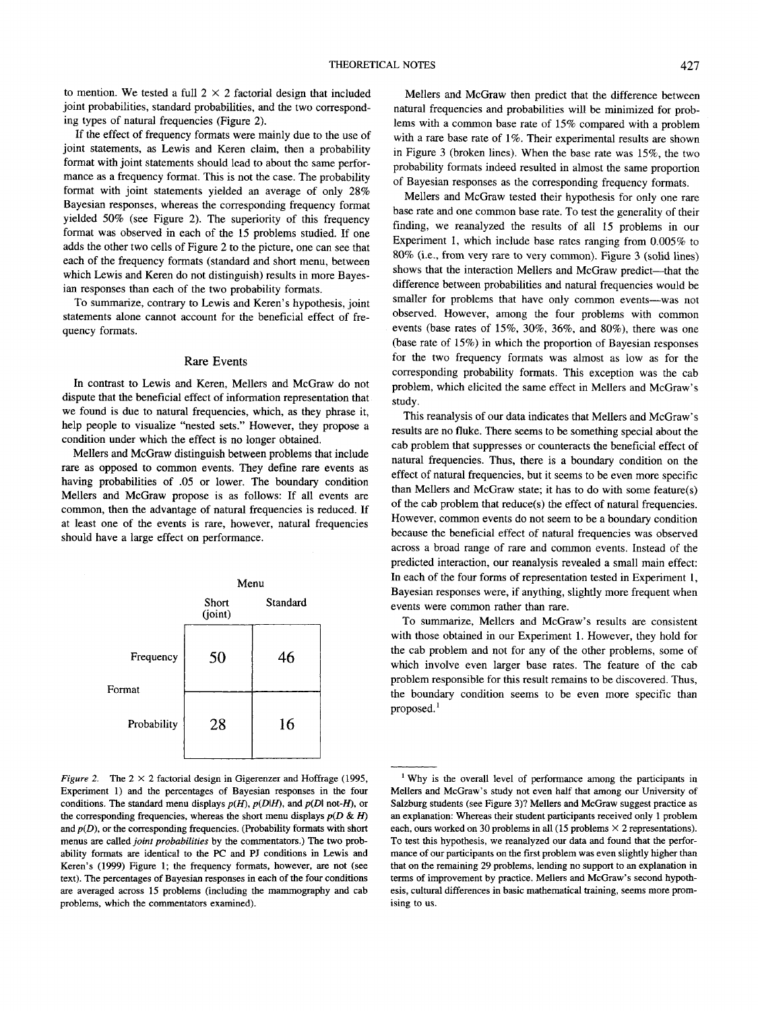to mention. We tested a full  $2 \times 2$  factorial design that included joint probabilities, standard probabilities, and the two corresponding types of natural frequencies (Figure 2).

If the effect of frequency formats were mainly due to the use of joint statements, as Lewis and Keren claim, then a probability format with joint statements should lead to about the same performance as a frequency format. This is not the case. The probability format with joint statements yielded an average of only 28% Bayesian responses, whereas the corresponding frequency format yielded 50% (see Figure 2). The superiority of this frequency format was observed in each of the 15 problems studied. If one adds the other two cells of Figure 2 to the picture, one can see that each of the frequency formats (standard and short menu, between which Lewis and Keren do not distinguish) results in more Bayesian responses than each of the two probability formats.

To summarize, contrary to Lewis and Keren's hypothesis, joint statements alone cannot account for the beneficial effect of frequency formats.

#### Rare Events

In contrast to Lewis and Keren, Mellers and McGraw do not dispute that the beneficial effect of information representation that we found is due to natural frequencies, which, as they phrase it, help people to visualize "nested sets." However, they propose a condition under which the effect is no longer obtained.

Mellers and McGraw distinguish between problems that include rare as opposed to common events. They define rare events as having probabilities of .05 or lower. The boundary condition Mellers and McGraw propose is as follows: If all events are common, then the advantage of natural frequencies is reduced. If at least one of the events is rare, however, natural frequencies should have a large effect on performance.



*Figure 2.* The  $2 \times 2$  factorial design in Gigerenzer and Hoffrage (1995, Experiment 1) and the percentages of Bayesian responses in the four conditions. The standard menu displays *p(H), p(D\H),* and *p(D\ not-H),* or the corresponding frequencies, whereas the short menu displays *p(D & H)* and *p(D),* or the corresponding frequencies. (Probability formats with short menus are *catted joint probabilities* by the commentators.) The two probability formats are identical to the PC and PJ conditions in Lewis and Keren's (1999) Figure 1; the frequency formats, however, are not (see text). The percentages of Bayesian responses in each of the four conditions are averaged across 15 problems (including the mammography and cab problems, which the commentators examined).

Mellers and McGraw then predict that the difference between natural frequencies and probabilities will be minimized for problems with a common base rate of 15% compared with a problem with a rare base rate of 1%. Their experimental results are shown in Figure 3 (broken lines). When the base rate was 15%, the two probability formats indeed resulted in almost the same proportion of Bayesian responses as the corresponding frequency formats.

Mellers and McGraw tested their hypothesis for only one rare base rate and one common base rate. To test the generality of their finding, we reanalyzed the results of all 15 problems in our Experiment 1, which include base rates ranging from 0.005% to 80% (i.e., from very rare to very common). Figure 3 (solid lines) shows that the interaction Mellers and McGraw predict—that the difference between probabilities and natural frequencies would be smaller for problems that have only common events—was not observed. However, among the four problems with common events (base rates of 15%, 30%, 36%, and 80%), there was one (base rate of 15%) in which the proportion of Bayesian responses for the two frequency formats was almost as low as for the corresponding probability formats. This exception was the cab problem, which elicited the same effect in Mellers and McGraw's study.

This reanalysis of our data indicates that Mellers and McGraw's results are no fluke. There seems to be something special about the cab problem that suppresses or counteracts the beneficial effect of natural frequencies. Thus, there is a boundary condition on the effect of natural frequencies, but it seems to be even more specific than Mellers and McGraw state; it has to do with some feature(s) of the cab problem that reduce(s) the effect of natural frequencies. However, common events do not seem to be a boundary condition because the beneficial effect of natural frequencies was observed across a broad range of rare and common events. Instead of the predicted interaction, our reanalysis revealed a small main effect: In each of the four forms of representation tested in Experiment 1, Bayesian responses were, if anything, slightly more frequent when events were common rather than rare.

To summarize, Mellers and McGraw's results are consistent with those obtained in our Experiment 1. However, they hold for the cab problem and not for any of the other problems, some of which involve even larger base rates. The feature of the cab problem responsible for this result remains to be discovered. Thus, the boundary condition seems to be even more specific than proposed.'

<sup>&</sup>lt;sup>1</sup> Why is the overall level of performance among the participants in Mellers and McGraw's study not even half that among our University of Salzburg students (see Figure 3)? Mellers and McGraw suggest practice as an explanation: Whereas their student participants received only 1 problem each, ours worked on 30 problems in all (15 problems  $\times$  2 representations). To test this hypothesis, we reanalyzed our data and found that the performance of our participants on the first problem was even slightly higher than that on the remaining 29 problems, lending no support to an explanation in terms of improvement by practice. Mellers and McGraw's second hypothesis, cultural differences in basic mathematical training, seems more promising to us.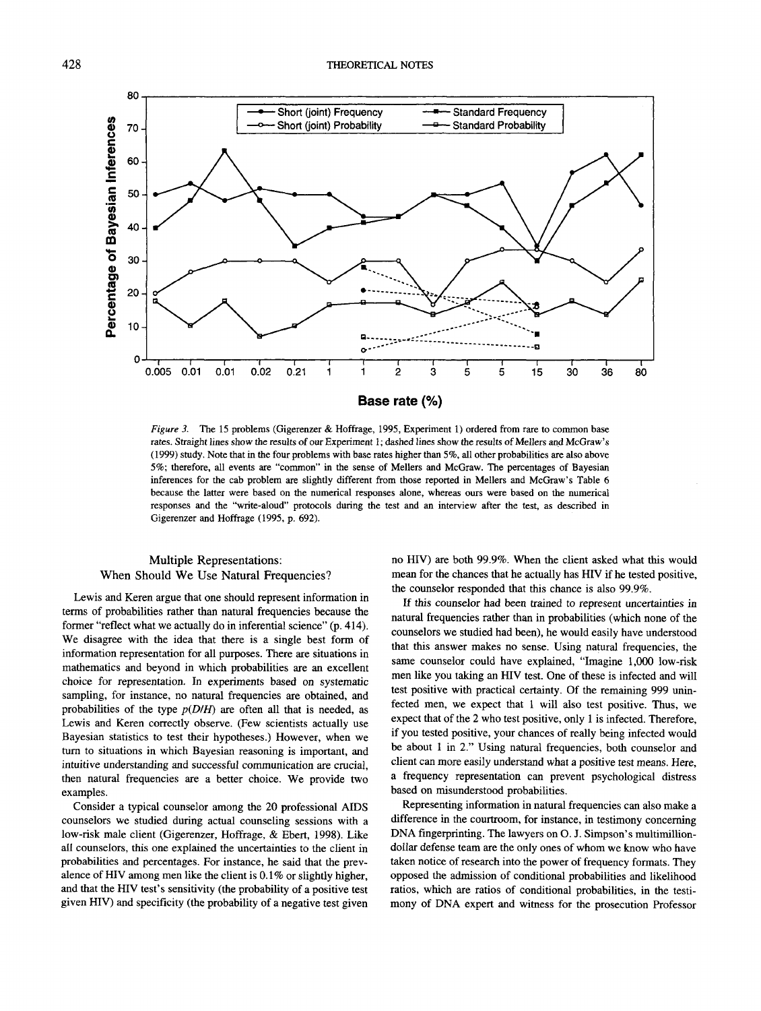

*Figure 3.* The 15 problems (Gigerenzer & Hoffrage, 1995, Experiment 1) ordered from rare to common base rates. Straight lines show the results of our Experiment 1; dashed lines show the results of Mellers and McGraw's (1999) study. Note that in the four problems with base rates higher than 5%, all other probabilities are also above 5%; therefore, all events are "common" in the sense of Mellers and McGraw. The percentages of Bayesian inferences for the cab problem are slightly different from those reported in Mellers and McGraw's Table 6 because the latter were based on the numerical responses alone, whereas ours were based on the numerical responses and the "write-aloud" protocols during the test and an interview after the test, as described in Gigerenzer and Hoffrage (1995, p. 692).

# Multiple Representations: When Should We Use Natural Frequencies?

Lewis and Keren argue that one should represent information in terms of probabilities rather than natural frequencies because the former "reflect what we actually do in inferential science" (p. 414). We disagree with the idea that there is a single best form of information representation for all purposes. There are situations in mathematics and beyond in which probabilities are an excellent choice for representation. In experiments based on systematic sampling, for instance, no natural frequencies are obtained, and probabilities of the type *p(D/H)* are often all that is needed, as Lewis and Keren correctly observe. (Few scientists actually use Bayesian statistics to test their hypotheses.) However, when we turn to situations in which Bayesian reasoning is important, and intuitive understanding and successful communication are crucial, then natural frequencies are a better choice. We provide two examples.

Consider a typical counselor among the 20 professional AIDS counselors we studied during actual counseling sessions with a low-risk male client (Gigerenzer, Hoffrage, & Ebert, 1998). Like all counselors, this one explained the uncertainties to the client in probabilities and percentages. For instance, he said that the prevalence of HIV among men like the client is 0.1% or slightly higher, and that the HIV test's sensitivity (the probability of a positive test given HIV) and specificity (the probability of a negative test given

no HIV) are both 99.9%. When the client asked what this would mean for the chances that he actually has HIV if he tested positive, the counselor responded that this chance is also 99.9%.

If this counselor had been trained to represent uncertainties in natural frequencies rather than in probabilities (which none of the counselors we studied had been), he would easily have understood that this answer makes no sense. Using natural frequencies, the same counselor could have explained, "Imagine 1,000 low-risk men like you taking an HIV test. One of these is infected and will test positive with practical certainty. Of the remaining 999 uninfected men, we expect that 1 will also test positive. Thus, we expect that of the 2 who test positive, only 1 is infected. Therefore, if you tested positive, your chances of really being infected would be about 1 in 2." Using natural frequencies, both counselor and client can more easily understand what a positive test means. Here, a frequency representation can prevent psychological distress based on misunderstood probabilities.

Representing information in natural frequencies can also make a difference in the courtroom, for instance, in testimony concerning DNA fingerprinting. The lawyers on O. J. Simpson's multimilliondollar defense team are the only ones of whom we know who have taken notice of research into the power of frequency formats. They opposed the admission of conditional probabilities and likelihood ratios, which are ratios of conditional probabilities, in the testimony of DNA expert and witness for the prosecution Professor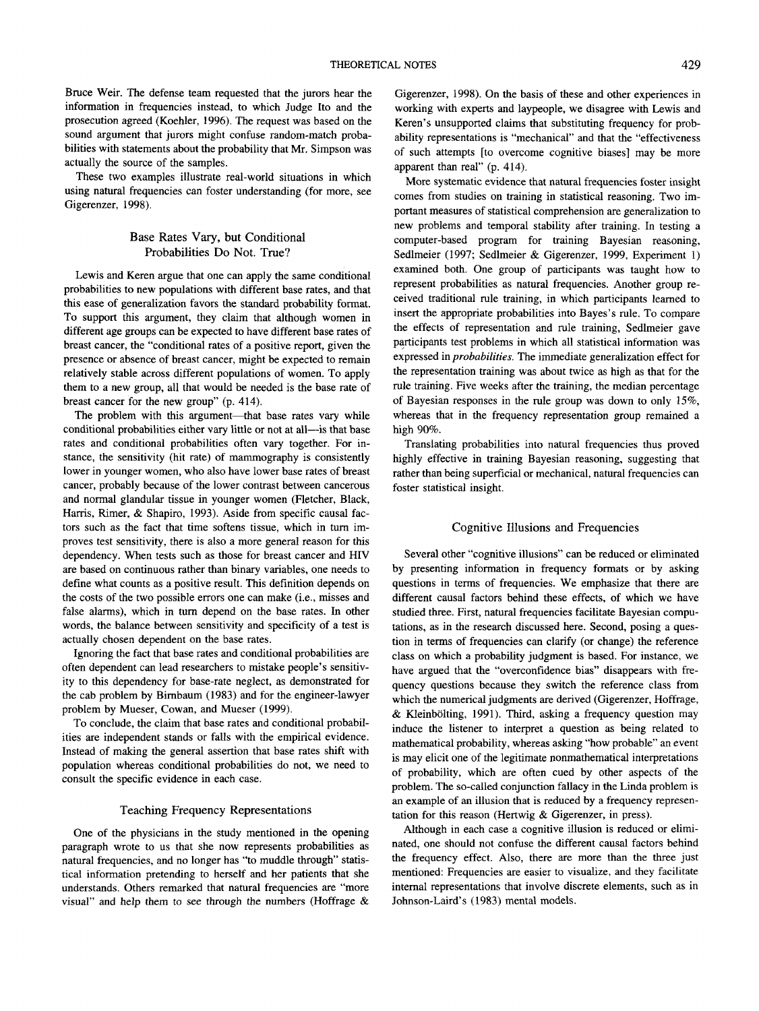Bruce Weir. The defense team requested that the jurors hear the information in frequencies instead, to which Judge Ito and the prosecution agreed (Koehler, 1996). The request was based on the sound argument that jurors might confuse random-match probabilities with statements about the probability that Mr. Simpson was actually the source of the samples.

These two examples illustrate real-world situations in which using natural frequencies can foster understanding (for more, see Gigerenzer, 1998).

## Base Rates Vary, but Conditional Probabilities Do Not. True?

Lewis and Keren argue that one can apply the same conditional probabilities to new populations with different base rates, and that this ease of generalization favors the standard probability format. To support this argument, they claim that although women in different age groups can be expected to have different base rates of breast cancer, the "conditional rates of a positive report, given the presence or absence of breast cancer, might be expected to remain relatively stable across different populations of women. To apply them to a new group, all that would be needed is the base rate of breast cancer for the new group" (p. 414).

The problem with this argument—that base rates vary while conditional probabilities either vary little or not at all—is that base rates and conditional probabilities often vary together. For instance, the sensitivity (hit rate) of mammography is consistently lower in younger women, who also have lower base rates of breast cancer, probably because of the lower contrast between cancerous and normal glandular tissue in younger women (Fletcher, Black, Harris, Rimer, & Shapiro, 1993). Aside from specific causal factors such as the fact that time softens tissue, which in turn improves test sensitivity, there is also a more general reason for this dependency. When tests such as those for breast cancer and HIV are based on continuous rather than binary variables, one needs to define what counts as a positive result. This definition depends on the costs of the two possible errors one can make (i.e., misses and false alarms), which in turn depend on the base rates. In other words, the balance between sensitivity and specificity of a test is actually chosen dependent on the base rates.

Ignoring the fact that base rates and conditional probabilities are often dependent can lead researchers to mistake people's sensitivity to this dependency for base-rate neglect, as demonstrated for the cab problem by Birnbaum (1983) and for the engineer-lawyer problem by Mueser, Cowan, and Mueser (1999).

To conclude, the claim that base rates and conditional probabilities are independent stands or falls with the empirical evidence. Instead of making the general assertion that base rates shift with population whereas conditional probabilities do not, we need to consult the specific evidence in each case.

### Teaching Frequency Representations

One of the physicians in the study mentioned in the opening paragraph wrote to us that she now represents probabilities as natural frequencies, and no longer has "to muddle through" statistical information pretending to herself and her patients that she understands. Others remarked that natural frequencies are "more visual" and help them to see through the numbers (Hoffrage  $\&$  Gigerenzer, 1998). On the basis of these and other experiences in working with experts and laypeople, we disagree with Lewis and Keren's unsupported claims that substituting frequency for probability representations is "mechanical" and that the "effectiveness of such attempts [to overcome cognitive biases] may be more apparent than real" (p. 414).

More systematic evidence that natural frequencies foster insight comes from studies on training in statistical reasoning. Two important measures of statistical comprehension are generalization to new problems and temporal stability after training. In testing a computer-based program for training Bayesian reasoning, Sedlmeier (1997; Sedlmeier & Gigerenzer, 1999, Experiment 1) examined both. One group of participants was taught how to represent probabilities as natural frequencies. Another group received traditional rule training, in which participants learned to insert the appropriate probabilities into Bayes's rule. To compare the effects of representation and rule training, Sedlmeier gave participants test problems in which all statistical information was expressed in *probabilities.* The immediate generalization effect for the representation training was about twice as high as that for the rule training. Five weeks after the training, the median percentage of Bayesian responses in the rule group was down to only 15%, whereas that in the frequency representation group remained a high 90%.

Translating probabilities into natural frequencies thus proved highly effective in training Bayesian reasoning, suggesting that rather than being superficial or mechanical, natural frequencies can foster statistical insight.

## Cognitive Illusions and Frequencies

Several other "cognitive illusions" can be reduced or eliminated by presenting information in frequency formats or by asking questions in terms of frequencies. We emphasize that there are different causal factors behind these effects, of which we have studied three. First, natural frequencies facilitate Bayesian computations, as in the research discussed here. Second, posing a question in terms of frequencies can clarify (or change) the reference class on which a probability judgment is based. For instance, we have argued that the "overconfidence bias" disappears with frequency questions because they switch the reference class from which the numerical judgments are derived (Gigerenzer, Hoffrage, & Kleinbolting, 1991). Third, asking a frequency question may induce the listener to interpret a question as being related to mathematical probability, whereas asking "how probable" an event is may elicit one of the legitimate nonmathematical interpretations of probability, which are often cued by other aspects of the problem. The so-called conjunction fallacy in the Linda problem is an example of an illusion that is reduced by a frequency representation for this reason (Hertwig & Gigerenzer, in press).

Although in each case a cognitive illusion is reduced or eliminated, one should not confuse the different causal factors behind the frequency effect. Also, there are more than the three just mentioned: Frequencies are easier to visualize, and they facilitate internal representations that involve discrete elements, such as in Johnson-Laird's (1983) mental models.